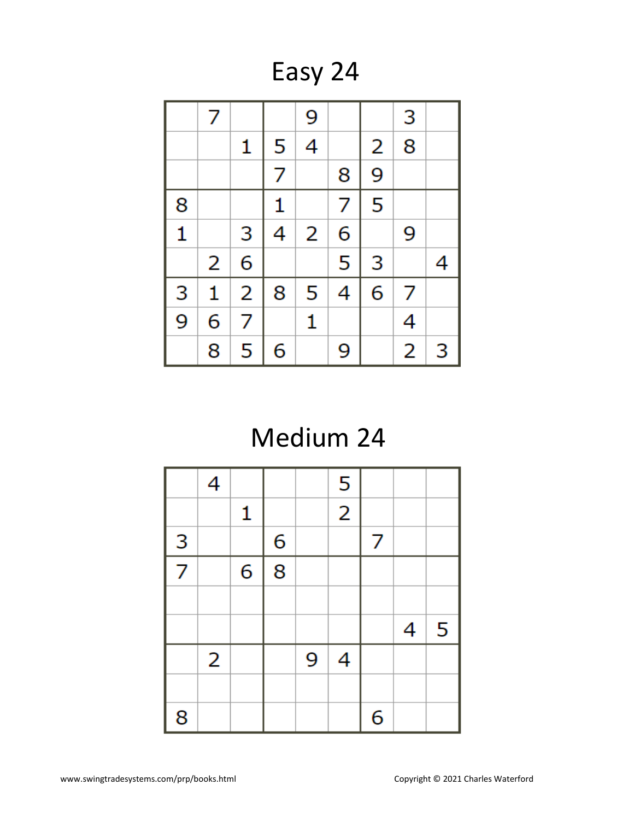Easy 24

|              | 7 |                |   | 9 |   |   | 3              |   |
|--------------|---|----------------|---|---|---|---|----------------|---|
|              |   | 1              | 5 | 4 |   | 2 | 8              |   |
|              |   |                | 7 |   | 8 | 9 |                |   |
| 8            |   |                | 1 |   | 7 | 5 |                |   |
| $\mathbf{1}$ |   | 3              | 4 | 2 | 6 |   | 9              |   |
|              | 2 | 6              |   |   | 5 | 3 |                | 4 |
| 3            | 1 | $\overline{2}$ | 8 | 5 | 4 | 6 | 7              |   |
| 9            | 6 | 7              |   | 1 |   |   | 4              |   |
|              | 8 | 5              | 6 |   | 9 |   | $\overline{2}$ | 3 |

# Medium 24

|   | 4              |   |   |   | 5              |   |   |   |
|---|----------------|---|---|---|----------------|---|---|---|
|   |                | 1 |   |   | $\overline{2}$ |   |   |   |
| 3 |                |   | 6 |   |                | 7 |   |   |
| 7 |                | 6 | 8 |   |                |   |   |   |
|   |                |   |   |   |                |   |   |   |
|   |                |   |   |   |                |   | 4 | 5 |
|   | $\overline{2}$ |   |   | 9 | 4              |   |   |   |
|   |                |   |   |   |                |   |   |   |
| 8 |                |   |   |   |                | 6 |   |   |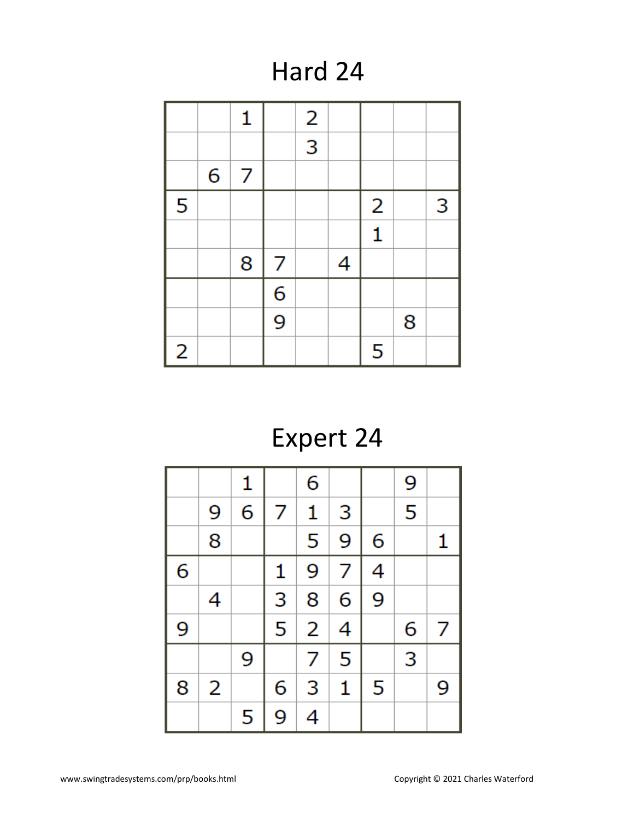Hard 24

|                |   | 1 |                | $\overline{a}$ |   |                |   |   |
|----------------|---|---|----------------|----------------|---|----------------|---|---|
|                |   |   |                | $\overline{3}$ |   |                |   |   |
|                | 6 | 7 |                |                |   |                |   |   |
| 5              |   |   |                |                |   | $\overline{2}$ |   | 3 |
|                |   |   |                |                |   | $\mathbf{1}$   |   |   |
|                |   | 8 | 7              |                | 4 |                |   |   |
|                |   |   | 6              |                |   |                |   |   |
|                |   |   | $\overline{9}$ |                |   |                | 8 |   |
| $\overline{2}$ |   |   |                |                |   | 5              |   |   |

## Expert 24

|   |   | 1 |   | 6              |                |   | 9 |   |
|---|---|---|---|----------------|----------------|---|---|---|
|   | 9 | 6 | 7 | 1              | 3              |   | 5 |   |
|   | 8 |   |   | 5              | 9              | 6 |   | 1 |
| 6 |   |   | 1 | 9              | $\overline{7}$ | 4 |   |   |
|   | 4 |   | 3 | 8              | 6              | 9 |   |   |
| 9 |   |   | 5 | $\overline{2}$ | 4              |   | 6 | 7 |
|   |   | 9 |   | 7              | 5              |   | 3 |   |
| 8 | 2 |   | 6 | 3              | $\mathbf{1}$   | 5 |   | 9 |
|   |   | 5 | 9 | 4              |                |   |   |   |